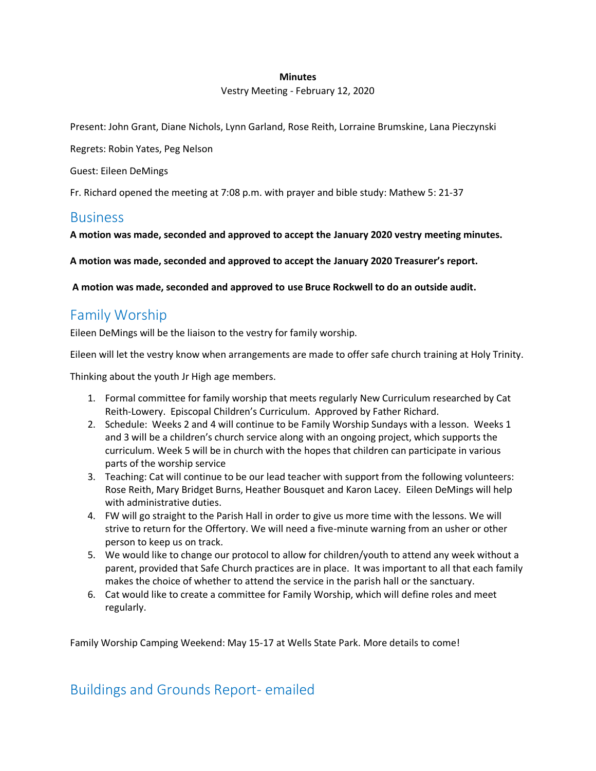#### **Minutes**

Vestry Meeting - February 12, 2020

Present: John Grant, Diane Nichols, Lynn Garland, Rose Reith, Lorraine Brumskine, Lana Pieczynski

Regrets: Robin Yates, Peg Nelson

Guest: Eileen DeMings

Fr. Richard opened the meeting at 7:08 p.m. with prayer and bible study: Mathew 5: 21-37

#### **Business**

**A motion was made, seconded and approved to accept the January 2020 vestry meeting minutes.**

**A motion was made, seconded and approved to accept the January 2020 Treasurer's report.**

**A motion was made, seconded and approved to use Bruce Rockwell to do an outside audit.**

## Family Worship

Eileen DeMings will be the liaison to the vestry for family worship.

Eileen will let the vestry know when arrangements are made to offer safe church training at Holy Trinity.

Thinking about the youth Jr High age members.

- 1. Formal committee for family worship that meets regularly New Curriculum researched by Cat Reith-Lowery. Episcopal Children's Curriculum. Approved by Father Richard.
- 2. Schedule: Weeks 2 and 4 will continue to be Family Worship Sundays with a lesson. Weeks 1 and 3 will be a children's church service along with an ongoing project, which supports the curriculum. Week 5 will be in church with the hopes that children can participate in various parts of the worship service
- 3. Teaching: Cat will continue to be our lead teacher with support from the following volunteers: Rose Reith, Mary Bridget Burns, Heather Bousquet and Karon Lacey. Eileen DeMings will help with administrative duties.
- 4. FW will go straight to the Parish Hall in order to give us more time with the lessons. We will strive to return for the Offertory. We will need a five-minute warning from an usher or other person to keep us on track.
- 5. We would like to change our protocol to allow for children/youth to attend any week without a parent, provided that Safe Church practices are in place. It was important to all that each family makes the choice of whether to attend the service in the parish hall or the sanctuary.
- 6. Cat would like to create a committee for Family Worship, which will define roles and meet regularly.

Family Worship Camping Weekend: May 15-17 at Wells State Park. More details to come!

## Buildings and Grounds Report- emailed